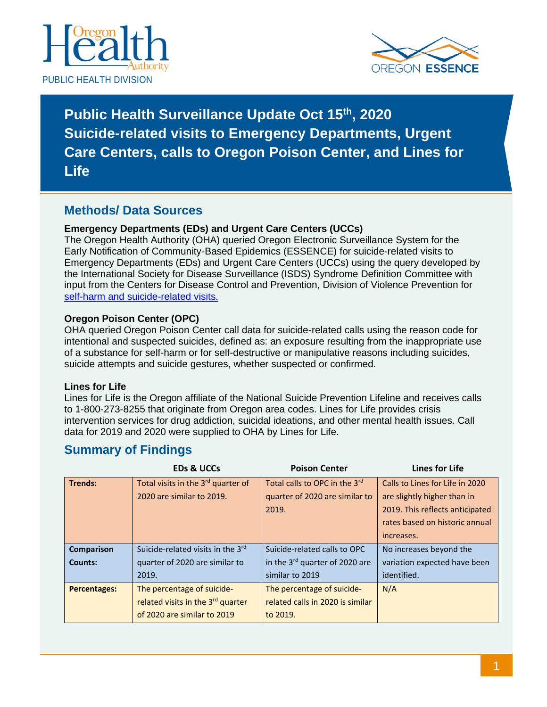



**Public Health Surveillance Update Oct 15th, 2020 Suicide-related visits to Emergency Departments, Urgent Care Centers, calls to Oregon Poison Center, and Lines for Life**

#### **Methods/ Data Sources**

#### **Emergency Departments (EDs) and Urgent Care Centers (UCCs)**

The Oregon Health Authority (OHA) queried Oregon Electronic Surveillance System for the Early Notification of Community-Based Epidemics (ESSENCE) for suicide-related visits to Emergency Departments (EDs) and Urgent Care Centers (UCCs) using the query developed by the International Society for Disease Surveillance (ISDS) Syndrome Definition Committee with input from the Centers for Disease Control and Prevention, Division of Violence Prevention for [self-harm and suicide-related visits.](https://knowledgerepository.syndromicsurveillance.org/self-harm-and-suicide-related-syndrome-definition-committee)

#### **Oregon Poison Center (OPC)**

OHA queried Oregon Poison Center call data for suicide-related calls using the reason code for intentional and suspected suicides, defined as: an exposure resulting from the inappropriate use of a substance for self-harm or for self-destructive or manipulative reasons including suicides, suicide attempts and suicide gestures, whether suspected or confirmed.

#### **Lines for Life**

Lines for Life is the Oregon affiliate of the National Suicide Prevention Lifeline and receives calls to 1-800-273-8255 that originate from Oregon area codes. Lines for Life provides crisis intervention services for drug addiction, suicidal ideations, and other mental health issues. Call data for 2019 and 2020 were supplied to OHA by Lines for Life.

### **Summary of Findings**

|                     | <b>EDs &amp; UCCs</b>                          | <b>Poison Center</b>             | <b>Lines for Life</b>           |
|---------------------|------------------------------------------------|----------------------------------|---------------------------------|
| <b>Trends:</b>      | Total visits in the 3 <sup>rd</sup> quarter of | Total calls to OPC in the 3rd    | Calls to Lines for Life in 2020 |
|                     | 2020 are similar to 2019.                      | quarter of 2020 are similar to   | are slightly higher than in     |
|                     |                                                | 2019.                            | 2019. This reflects anticipated |
|                     |                                                |                                  | rates based on historic annual  |
|                     |                                                |                                  | increases.                      |
| Comparison          | Suicide-related visits in the 3rd              | Suicide-related calls to OPC     | No increases beyond the         |
| <b>Counts:</b>      | quarter of 2020 are similar to                 | in the 3rd quarter of 2020 are   | variation expected have been    |
|                     | 2019.                                          | similar to 2019                  | identified.                     |
| <b>Percentages:</b> | The percentage of suicide-                     | The percentage of suicide-       | N/A                             |
|                     | related visits in the 3 <sup>rd</sup> quarter  | related calls in 2020 is similar |                                 |
|                     | of 2020 are similar to 2019                    | to 2019.                         |                                 |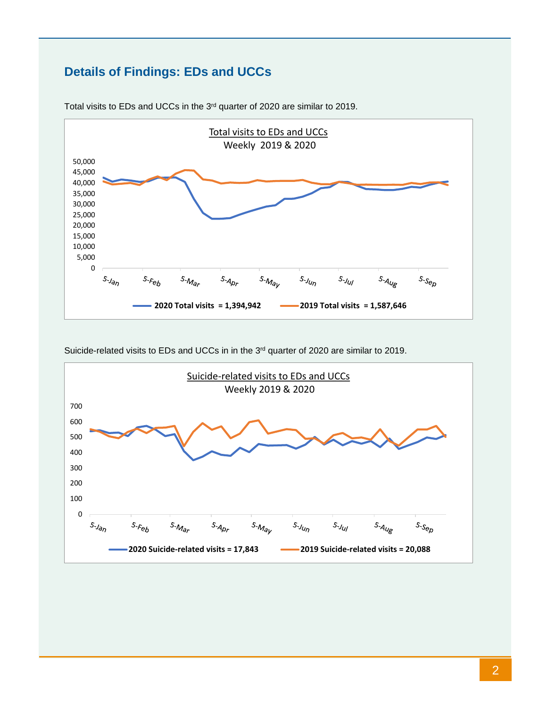# **Details of Findings: EDs and UCCs**



Total visits to EDs and UCCs in the 3rd quarter of 2020 are similar to 2019.

Suicide-related visits to EDs and UCCs in in the 3<sup>rd</sup> quarter of 2020 are similar to 2019.

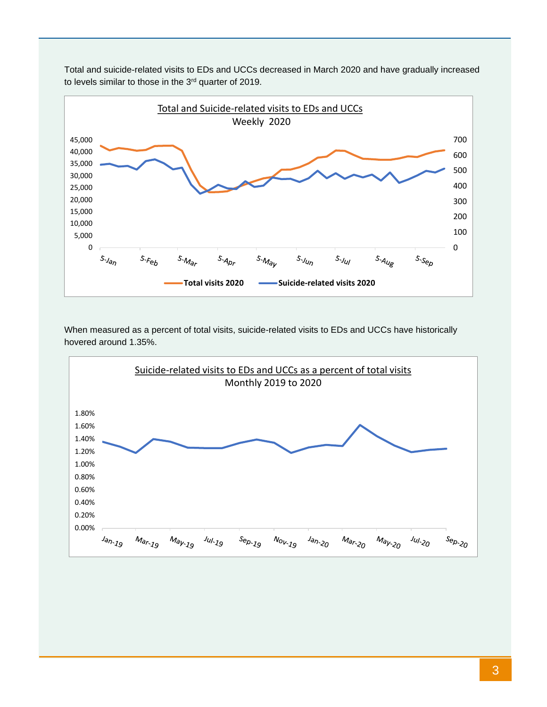

Total and suicide-related visits to EDs and UCCs decreased in March 2020 and have gradually increased to levels similar to those in the 3<sup>rd</sup> quarter of 2019.

When measured as a percent of total visits, suicide-related visits to EDs and UCCs have historically hovered around 1.35%.

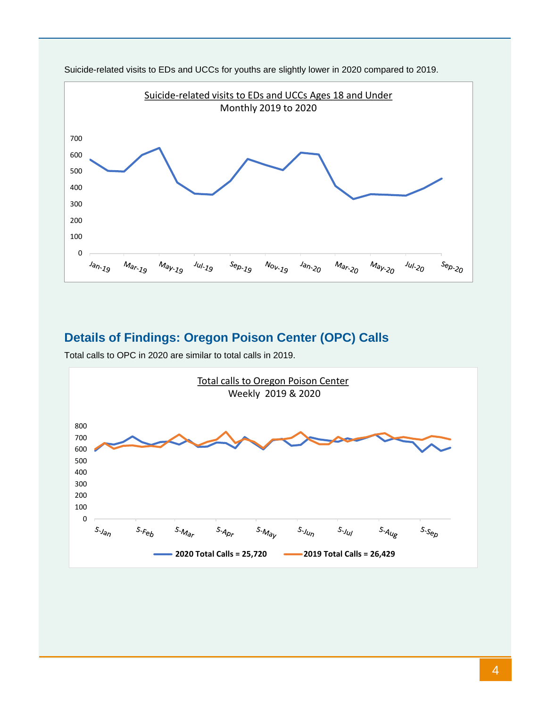

Suicide-related visits to EDs and UCCs for youths are slightly lower in 2020 compared to 2019.

### **Details of Findings: Oregon Poison Center (OPC) Calls**

Total calls to OPC in 2020 are similar to total calls in 2019.

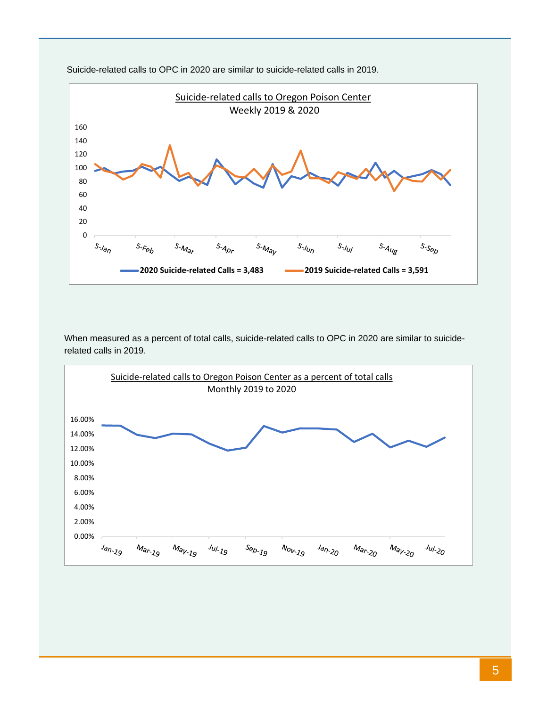

Suicide-related calls to OPC in 2020 are similar to suicide-related calls in 2019.

When measured as a percent of total calls, suicide-related calls to OPC in 2020 are similar to suiciderelated calls in 2019.

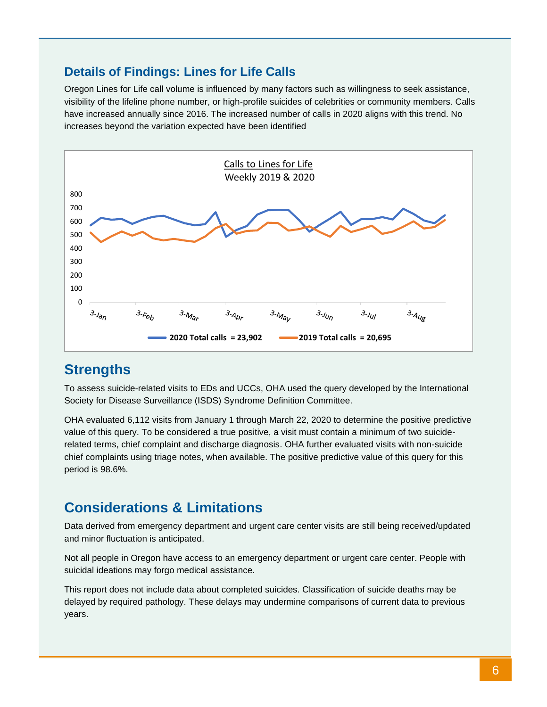### **Details of Findings: Lines for Life Calls**

Oregon Lines for Life call volume is influenced by many factors such as willingness to seek assistance, visibility of the lifeline phone number, or high-profile suicides of celebrities or community members. Calls have increased annually since 2016. The increased number of calls in 2020 aligns with this trend. No increases beyond the variation expected have been identified



## **Strengths**

To assess suicide-related visits to EDs and UCCs, OHA used the query developed by the International Society for Disease Surveillance (ISDS) Syndrome Definition Committee.

OHA evaluated 6,112 visits from January 1 through March 22, 2020 to determine the positive predictive value of this query. To be considered a true positive, a visit must contain a minimum of two suiciderelated terms, chief complaint and discharge diagnosis. OHA further evaluated visits with non-suicide chief complaints using triage notes, when available. The positive predictive value of this query for this period is 98.6%.

# **Considerations & Limitations**

Data derived from emergency department and urgent care center visits are still being received/updated and minor fluctuation is anticipated.

Not all people in Oregon have access to an emergency department or urgent care center. People with suicidal ideations may forgo medical assistance.

This report does not include data about completed suicides. Classification of suicide deaths may be delayed by required pathology. These delays may undermine comparisons of current data to previous years.